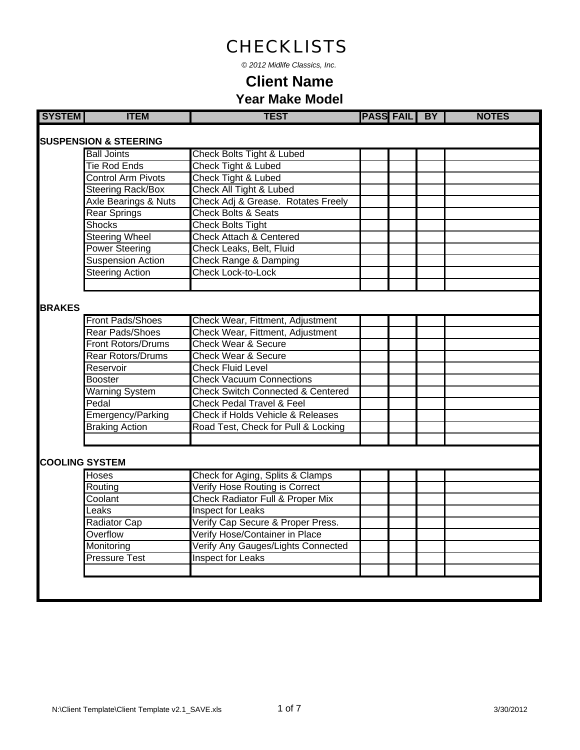*© 2012 Midlife Classics, Inc.*

| <b>SYSTEM</b> | <b>ITEM</b>                      | <b>TEST</b>                                  | <b>PASS FAIL BY</b> |  | <b>NOTES</b> |
|---------------|----------------------------------|----------------------------------------------|---------------------|--|--------------|
|               |                                  |                                              |                     |  |              |
|               | <b>SUSPENSION &amp; STEERING</b> |                                              |                     |  |              |
|               | <b>Ball Joints</b>               | Check Bolts Tight & Lubed                    |                     |  |              |
|               | <b>Tie Rod Ends</b>              | Check Tight & Lubed                          |                     |  |              |
|               | <b>Control Arm Pivots</b>        | <b>Check Tight &amp; Lubed</b>               |                     |  |              |
|               | <b>Steering Rack/Box</b>         | Check All Tight & Lubed                      |                     |  |              |
|               | Axle Bearings & Nuts             | Check Adj & Grease. Rotates Freely           |                     |  |              |
|               | <b>Rear Springs</b>              | <b>Check Bolts &amp; Seats</b>               |                     |  |              |
|               | <b>Shocks</b>                    | <b>Check Bolts Tight</b>                     |                     |  |              |
|               | <b>Steering Wheel</b>            | <b>Check Attach &amp; Centered</b>           |                     |  |              |
|               | <b>Power Steering</b>            | Check Leaks, Belt, Fluid                     |                     |  |              |
|               | Suspension Action                | <b>Check Range &amp; Damping</b>             |                     |  |              |
|               | <b>Steering Action</b>           | Check Lock-to-Lock                           |                     |  |              |
|               |                                  |                                              |                     |  |              |
| <b>BRAKES</b> |                                  |                                              |                     |  |              |
|               | Front Pads/Shoes                 | Check Wear, Fittment, Adjustment             |                     |  |              |
|               | <b>Rear Pads/Shoes</b>           | Check Wear, Fittment, Adjustment             |                     |  |              |
|               | <b>Front Rotors/Drums</b>        | <b>Check Wear &amp; Secure</b>               |                     |  |              |
|               | <b>Rear Rotors/Drums</b>         | <b>Check Wear &amp; Secure</b>               |                     |  |              |
|               | Reservoir                        | <b>Check Fluid Level</b>                     |                     |  |              |
|               | Booster                          | <b>Check Vacuum Connections</b>              |                     |  |              |
|               | <b>Warning System</b>            | <b>Check Switch Connected &amp; Centered</b> |                     |  |              |
|               | Pedal                            | <b>Check Pedal Travel &amp; Feel</b>         |                     |  |              |
|               | Emergency/Parking                | Check if Holds Vehicle & Releases            |                     |  |              |
|               | <b>Braking Action</b>            | Road Test, Check for Pull & Locking          |                     |  |              |
|               |                                  |                                              |                     |  |              |
|               |                                  |                                              |                     |  |              |
|               | <b>COOLING SYSTEM</b>            |                                              |                     |  |              |
|               | <b>Hoses</b>                     | Check for Aging, Splits & Clamps             |                     |  |              |
|               | Routing                          | Verify Hose Routing is Correct               |                     |  |              |
|               | Coolant                          | Check Radiator Full & Proper Mix             |                     |  |              |
|               | Leaks                            | <b>Inspect for Leaks</b>                     |                     |  |              |
|               | Radiator Cap                     | Verify Cap Secure & Proper Press.            |                     |  |              |
|               | Overflow                         | Verify Hose/Container in Place               |                     |  |              |
|               | Monitoring                       | Verify Any Gauges/Lights Connected           |                     |  |              |
|               | <b>Pressure Test</b>             | <b>Inspect for Leaks</b>                     |                     |  |              |
|               |                                  |                                              |                     |  |              |
|               |                                  |                                              |                     |  |              |
|               |                                  |                                              |                     |  |              |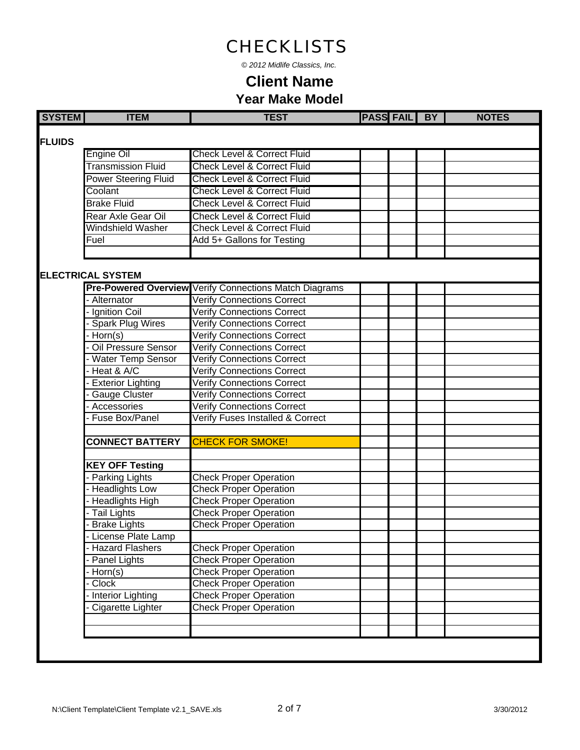*© 2012 Midlife Classics, Inc.*

| <b>SYSTEM</b> | <b>ITEM</b>                                    | <b>TEST</b>                                                                      | <b>PASS FAIL BY</b> |  | <b>NOTES</b> |
|---------------|------------------------------------------------|----------------------------------------------------------------------------------|---------------------|--|--------------|
|               |                                                |                                                                                  |                     |  |              |
| <b>FLUIDS</b> |                                                |                                                                                  |                     |  |              |
|               | <b>Engine Oil</b><br><b>Transmission Fluid</b> | <b>Check Level &amp; Correct Fluid</b><br><b>Check Level &amp; Correct Fluid</b> |                     |  |              |
|               |                                                |                                                                                  |                     |  |              |
|               | <b>Power Steering Fluid</b>                    | <b>Check Level &amp; Correct Fluid</b>                                           |                     |  |              |
|               | Coolant                                        | <b>Check Level &amp; Correct Fluid</b>                                           |                     |  |              |
|               | <b>Brake Fluid</b>                             | <b>Check Level &amp; Correct Fluid</b>                                           |                     |  |              |
|               | Rear Axle Gear Oil                             | <b>Check Level &amp; Correct Fluid</b>                                           |                     |  |              |
|               | Windshield Washer                              | <b>Check Level &amp; Correct Fluid</b>                                           |                     |  |              |
|               | Fuel                                           | Add 5+ Gallons for Testing                                                       |                     |  |              |
|               |                                                |                                                                                  |                     |  |              |
|               | <b>ELECTRICAL SYSTEM</b>                       |                                                                                  |                     |  |              |
|               |                                                | <b>Pre-Powered Overview Verify Connections Match Diagrams</b>                    |                     |  |              |
|               | Alternator                                     | <b>Verify Connections Correct</b>                                                |                     |  |              |
|               | - Ignition Coil                                | <b>Verify Connections Correct</b>                                                |                     |  |              |
|               | - Spark Plug Wires                             | <b>Verify Connections Correct</b>                                                |                     |  |              |
|               | - Horn(s)                                      | <b>Verify Connections Correct</b>                                                |                     |  |              |
|               | - Oil Pressure Sensor                          | Verify Connections Correct                                                       |                     |  |              |
|               | - Water Temp Sensor                            | <b>Verify Connections Correct</b>                                                |                     |  |              |
|               | Heat & A/C                                     | <b>Verify Connections Correct</b>                                                |                     |  |              |
|               | - Exterior Lighting                            | <b>Verify Connections Correct</b>                                                |                     |  |              |
|               | - Gauge Cluster                                | <b>Verify Connections Correct</b>                                                |                     |  |              |
|               | Accessories                                    | <b>Verify Connections Correct</b>                                                |                     |  |              |
|               | - Fuse Box/Panel                               | Verify Fuses Installed & Correct                                                 |                     |  |              |
|               |                                                |                                                                                  |                     |  |              |
|               | <b>CONNECT BATTERY</b>                         | <b>CHECK FOR SMOKE!</b>                                                          |                     |  |              |
|               |                                                |                                                                                  |                     |  |              |
|               | <b>KEY OFF Testing</b>                         |                                                                                  |                     |  |              |
|               | - Parking Lights                               | <b>Check Proper Operation</b>                                                    |                     |  |              |
|               | - Headlights Low                               | <b>Check Proper Operation</b>                                                    |                     |  |              |
|               | - Headlights High                              | <b>Check Proper Operation</b>                                                    |                     |  |              |
|               | - Tail Lights                                  | <b>Check Proper Operation</b>                                                    |                     |  |              |
|               | <b>Brake Lights</b>                            | <b>Check Proper Operation</b>                                                    |                     |  |              |
|               | License Plate Lamp                             |                                                                                  |                     |  |              |
|               | - Hazard Flashers                              | <b>Check Proper Operation</b>                                                    |                     |  |              |
|               | - Panel Lights                                 | <b>Check Proper Operation</b>                                                    |                     |  |              |
|               | - Horn(s)                                      | <b>Check Proper Operation</b>                                                    |                     |  |              |
|               | - Clock                                        | <b>Check Proper Operation</b>                                                    |                     |  |              |
|               | - Interior Lighting                            | <b>Check Proper Operation</b>                                                    |                     |  |              |
|               | Cigarette Lighter                              | <b>Check Proper Operation</b>                                                    |                     |  |              |
|               |                                                |                                                                                  |                     |  |              |
|               |                                                |                                                                                  |                     |  |              |
|               |                                                |                                                                                  |                     |  |              |
|               |                                                |                                                                                  |                     |  |              |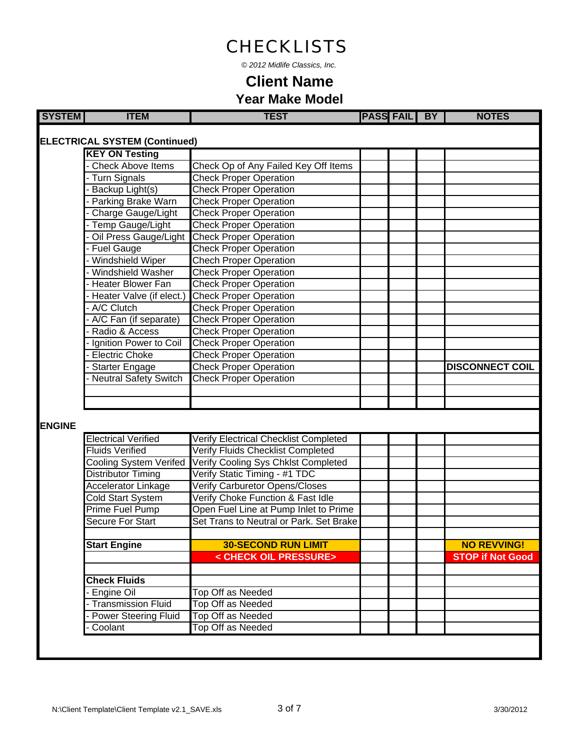*© 2012 Midlife Classics, Inc.*

| <b>SYSTEM</b> | <b>ITEM</b>                          | <b>TEST</b>                                  | <b>PASS FAIL BY</b> | <b>NOTES</b>            |
|---------------|--------------------------------------|----------------------------------------------|---------------------|-------------------------|
|               | <b>ELECTRICAL SYSTEM (Continued)</b> |                                              |                     |                         |
|               | <b>KEY ON Testing</b>                |                                              |                     |                         |
|               | - Check Above Items                  | Check Op of Any Failed Key Off Items         |                     |                         |
|               | - Turn Signals                       | <b>Check Proper Operation</b>                |                     |                         |
|               | - Backup Light(s)                    | <b>Check Proper Operation</b>                |                     |                         |
|               | - Parking Brake Warn                 | <b>Check Proper Operation</b>                |                     |                         |
|               | Charge Gauge/Light                   | <b>Check Proper Operation</b>                |                     |                         |
|               | - Temp Gauge/Light                   | <b>Check Proper Operation</b>                |                     |                         |
|               | Oil Press Gauge/Light                | <b>Check Proper Operation</b>                |                     |                         |
|               | - Fuel Gauge                         | <b>Check Proper Operation</b>                |                     |                         |
|               | - Windshield Wiper                   | <b>Chech Proper Operation</b>                |                     |                         |
|               | - Windshield Washer                  | <b>Check Proper Operation</b>                |                     |                         |
|               | - Heater Blower Fan                  | <b>Check Proper Operation</b>                |                     |                         |
|               | - Heater Valve (if elect.)           | <b>Check Proper Operation</b>                |                     |                         |
|               | - A/C Clutch                         | <b>Check Proper Operation</b>                |                     |                         |
|               | A/C Fan (if separate)                | <b>Check Proper Operation</b>                |                     |                         |
|               | Radio & Access                       | <b>Check Proper Operation</b>                |                     |                         |
|               | - Ignition Power to Coil             | <b>Check Proper Operation</b>                |                     |                         |
|               | - Electric Choke                     | <b>Check Proper Operation</b>                |                     |                         |
|               | <b>Starter Engage</b>                | <b>Check Proper Operation</b>                |                     | <b>DISCONNECT COIL</b>  |
|               | - Neutral Safety Switch              | <b>Check Proper Operation</b>                |                     |                         |
|               |                                      |                                              |                     |                         |
|               |                                      |                                              |                     |                         |
| <b>ENGINE</b> |                                      |                                              |                     |                         |
|               | <b>Electrical Verified</b>           | <b>Verify Electrical Checklist Completed</b> |                     |                         |
|               | <b>Fluids Verified</b>               | Verify Fluids Checklist Completed            |                     |                         |
|               | Cooling System Verifed               | Verify Cooling Sys Chklst Completed          |                     |                         |
|               | Distributor Timing                   | Verify Static Timing - #1 TDC                |                     |                         |
|               | Accelerator Linkage                  | Verify Carburetor Opens/Closes               |                     |                         |
|               | <b>Cold Start System</b>             | Verify Choke Function & Fast Idle            |                     |                         |
|               | <b>Prime Fuel Pump</b>               | Open Fuel Line at Pump Inlet to Prime        |                     |                         |
|               | Secure For Start                     | Set Trans to Neutral or Park. Set Brake      |                     |                         |
|               |                                      |                                              |                     |                         |
|               | <b>Start Engine</b>                  | <b>30-SECOND RUN LIMIT</b>                   |                     | <b>NO REVVING!</b>      |
|               |                                      | < CHECK OIL PRESSURE>                        |                     | <b>STOP if Not Good</b> |
|               |                                      |                                              |                     |                         |
|               | <b>Check Fluids</b>                  |                                              |                     |                         |
|               | - Engine Oil                         | <b>Top Off as Needed</b>                     |                     |                         |
|               | - Transmission Fluid                 | Top Off as Needed                            |                     |                         |
|               | - Power Steering Fluid               | Top Off as Needed                            |                     |                         |
|               | - Coolant                            | <b>Top Off as Needed</b>                     |                     |                         |
|               |                                      |                                              |                     |                         |
|               |                                      |                                              |                     |                         |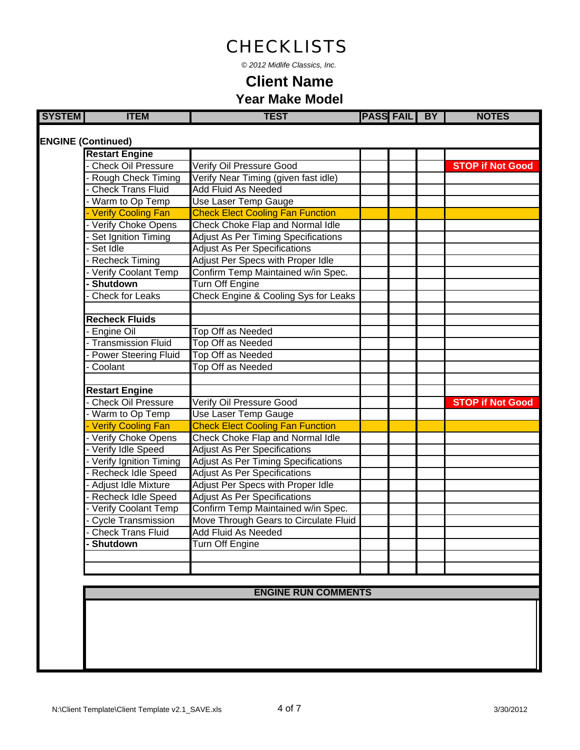*© 2012 Midlife Classics, Inc.*

| <b>SYSTEM</b> | <b>ITEM</b>                 | <b>TEST</b>                                | <b>PASS FAIL BY</b> |  | <b>NOTES</b>            |
|---------------|-----------------------------|--------------------------------------------|---------------------|--|-------------------------|
|               |                             |                                            |                     |  |                         |
|               | <b>ENGINE (Continued)</b>   |                                            |                     |  |                         |
|               | <b>Restart Engine</b>       |                                            |                     |  |                         |
|               | <b>Check Oil Pressure</b>   | Verify Oil Pressure Good                   |                     |  | <b>STOP if Not Good</b> |
|               | <b>Rough Check Timing</b>   | Verify Near Timing (given fast idle)       |                     |  |                         |
|               | <b>Check Trans Fluid</b>    | <b>Add Fluid As Needed</b>                 |                     |  |                         |
|               | - Warm to Op Temp           | Use Laser Temp Gauge                       |                     |  |                         |
|               | Verify Cooling Fan          | <b>Check Elect Cooling Fan Function</b>    |                     |  |                         |
|               | Verify Choke Opens          | Check Choke Flap and Normal Idle           |                     |  |                         |
|               | Set Ignition Timing         | <b>Adjust As Per Timing Specifications</b> |                     |  |                         |
|               | Set Idle                    | <b>Adjust As Per Specifications</b>        |                     |  |                         |
|               | <b>Recheck Timing</b>       | Adjust Per Specs with Proper Idle          |                     |  |                         |
|               | <b>Verify Coolant Temp</b>  | Confirm Temp Maintained w/in Spec.         |                     |  |                         |
|               | <b>Shutdown</b>             | <b>Turn Off Engine</b>                     |                     |  |                         |
|               | <b>Check for Leaks</b>      | Check Engine & Cooling Sys for Leaks       |                     |  |                         |
|               |                             |                                            |                     |  |                         |
|               | <b>Recheck Fluids</b>       |                                            |                     |  |                         |
|               | Engine Oil                  | <b>Top Off as Needed</b>                   |                     |  |                         |
|               | <b>Transmission Fluid</b>   | <b>Top Off as Needed</b>                   |                     |  |                         |
|               | <b>Power Steering Fluid</b> | <b>Top Off as Needed</b>                   |                     |  |                         |
|               | Coolant                     | <b>Top Off as Needed</b>                   |                     |  |                         |
|               |                             |                                            |                     |  |                         |
|               | <b>Restart Engine</b>       |                                            |                     |  |                         |
|               | <b>Check Oil Pressure</b>   | <b>Verify Oil Pressure Good</b>            |                     |  | <b>STOP if Not Good</b> |
|               | Warm to Op Temp             | <b>Use Laser Temp Gauge</b>                |                     |  |                         |
|               | Verify Cooling Fan          | <b>Check Elect Cooling Fan Function</b>    |                     |  |                         |
|               | Verify Choke Opens          | Check Choke Flap and Normal Idle           |                     |  |                         |
|               | Verify Idle Speed           | <b>Adjust As Per Specifications</b>        |                     |  |                         |
|               | - Verify Ignition Timing    | <b>Adjust As Per Timing Specifications</b> |                     |  |                         |
|               | <b>Recheck Idle Speed</b>   | <b>Adjust As Per Specifications</b>        |                     |  |                         |
|               | Adjust Idle Mixture         | Adjust Per Specs with Proper Idle          |                     |  |                         |
|               | <b>Recheck Idle Speed</b>   | <b>Adjust As Per Specifications</b>        |                     |  |                         |
|               | <b>Verify Coolant Temp</b>  | Confirm Temp Maintained w/in Spec.         |                     |  |                         |
|               | <b>Cycle Transmission</b>   | Move Through Gears to Circulate Fluid      |                     |  |                         |
|               | <b>Check Trans Fluid</b>    | <b>Add Fluid As Needed</b>                 |                     |  |                         |
|               | <b>Shutdown</b>             | <b>Turn Off Engine</b>                     |                     |  |                         |
|               |                             |                                            |                     |  |                         |
|               |                             |                                            |                     |  |                         |
|               |                             |                                            |                     |  |                         |
|               |                             |                                            |                     |  |                         |
|               |                             | <b>ENGINE RUN COMMENTS</b>                 |                     |  |                         |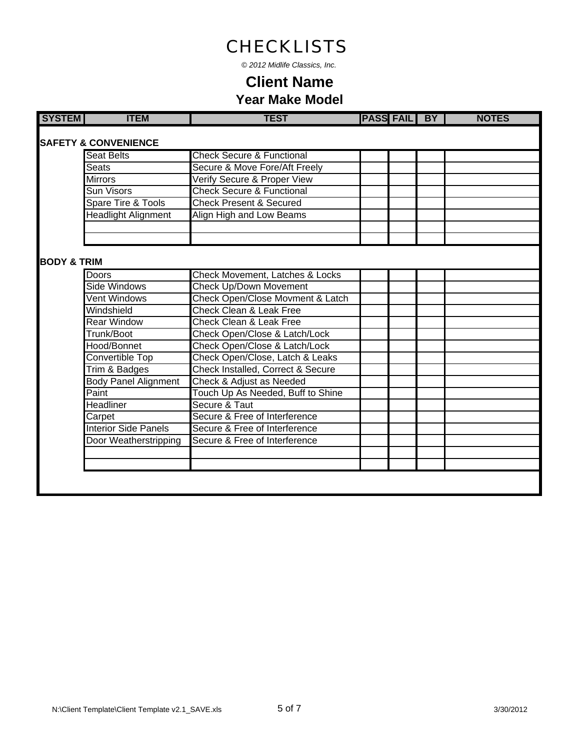*© 2012 Midlife Classics, Inc.*

|                        | <b>SAFETY &amp; CONVENIENCE</b> |                                      |  |  |
|------------------------|---------------------------------|--------------------------------------|--|--|
|                        | <b>Seat Belts</b>               | <b>Check Secure &amp; Functional</b> |  |  |
|                        | <b>Seats</b>                    | Secure & Move Fore/Aft Freely        |  |  |
|                        | <b>Mirrors</b>                  | Verify Secure & Proper View          |  |  |
|                        | Sun Visors                      | <b>Check Secure &amp; Functional</b> |  |  |
|                        | Spare Tire & Tools              | <b>Check Present &amp; Secured</b>   |  |  |
|                        | <b>Headlight Alignment</b>      | Align High and Low Beams             |  |  |
|                        |                                 |                                      |  |  |
|                        |                                 |                                      |  |  |
| <b>BODY &amp; TRIM</b> |                                 |                                      |  |  |
|                        | <b>Doors</b>                    | Check Movement, Latches & Locks      |  |  |
|                        | <b>Side Windows</b>             | <b>Check Up/Down Movement</b>        |  |  |
|                        | <b>Vent Windows</b>             | Check Open/Close Movment & Latch     |  |  |
|                        | Windshield                      | Check Clean & Leak Free              |  |  |
|                        | <b>Rear Window</b>              | <b>Check Clean &amp; Leak Free</b>   |  |  |
|                        | Trunk/Boot                      | Check Open/Close & Latch/Lock        |  |  |
|                        | Hood/Bonnet                     | Check Open/Close & Latch/Lock        |  |  |
|                        | <b>Convertible Top</b>          | Check Open/Close, Latch & Leaks      |  |  |
|                        | Trim & Badges                   | Check Installed, Correct & Secure    |  |  |
|                        | <b>Body Panel Alignment</b>     | Check & Adjust as Needed             |  |  |
|                        | Paint                           | Touch Up As Needed, Buff to Shine    |  |  |
|                        | <b>Headliner</b>                | Secure & Taut                        |  |  |
|                        | Carpet                          | Secure & Free of Interference        |  |  |
|                        | <b>Interior Side Panels</b>     | Secure & Free of Interference        |  |  |
|                        | Door Weatherstripping           | Secure & Free of Interference        |  |  |
|                        |                                 |                                      |  |  |
|                        |                                 |                                      |  |  |
|                        |                                 |                                      |  |  |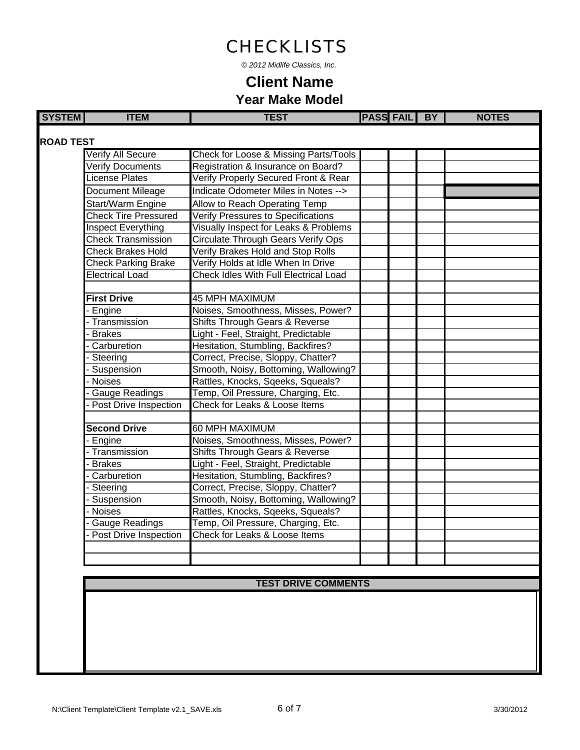*© 2012 Midlife Classics, Inc.*

#### **Year Make Model Client Name**

| <b>SYSTEM</b>    | <b>ITEM</b>                 | <b>TEST</b>                                  | <b>PASS FAIL BY</b> |  | <b>NOTES</b> |
|------------------|-----------------------------|----------------------------------------------|---------------------|--|--------------|
| <b>ROAD TEST</b> |                             |                                              |                     |  |              |
|                  | <b>Verify All Secure</b>    | Check for Loose & Missing Parts/Tools        |                     |  |              |
|                  | Verify Documents            | Registration & Insurance on Board?           |                     |  |              |
|                  | License Plates              | Verify Properly Secured Front & Rear         |                     |  |              |
|                  | Document Mileage            | Indicate Odometer Miles in Notes -->         |                     |  |              |
|                  | Start/Warm Engine           | Allow to Reach Operating Temp                |                     |  |              |
|                  | <b>Check Tire Pressured</b> | <b>Verify Pressures to Specifications</b>    |                     |  |              |
|                  | Inspect Everything          | Visually Inspect for Leaks & Problems        |                     |  |              |
|                  | <b>Check Transmission</b>   | <b>Circulate Through Gears Verify Ops</b>    |                     |  |              |
|                  | <b>Check Brakes Hold</b>    | Verify Brakes Hold and Stop Rolls            |                     |  |              |
|                  | <b>Check Parking Brake</b>  | Verify Holds at Idle When In Drive           |                     |  |              |
|                  | <b>Electrical Load</b>      | <b>Check Idles With Full Electrical Load</b> |                     |  |              |
|                  |                             |                                              |                     |  |              |
|                  | <b>First Drive</b>          | <b>45 MPH MAXIMUM</b>                        |                     |  |              |
|                  | Engine                      | Noises, Smoothness, Misses, Power?           |                     |  |              |
|                  | Transmission                | Shifts Through Gears & Reverse               |                     |  |              |
|                  | <b>Brakes</b>               | Light - Feel, Straight, Predictable          |                     |  |              |
|                  | Carburetion                 | Hesitation, Stumbling, Backfires?            |                     |  |              |
|                  | Steering                    | Correct, Precise, Sloppy, Chatter?           |                     |  |              |
|                  | Suspension                  | Smooth, Noisy, Bottoming, Wallowing?         |                     |  |              |
|                  | <b>Noises</b>               | Rattles, Knocks, Sqeeks, Squeals?            |                     |  |              |
|                  | <b>Gauge Readings</b>       | Temp, Oil Pressure, Charging, Etc.           |                     |  |              |
|                  | Post Drive Inspection       | Check for Leaks & Loose Items                |                     |  |              |
|                  |                             |                                              |                     |  |              |
|                  | <b>Second Drive</b>         | 60 MPH MAXIMUM                               |                     |  |              |
|                  | Engine                      | Noises, Smoothness, Misses, Power?           |                     |  |              |
|                  | Transmission                | Shifts Through Gears & Reverse               |                     |  |              |
|                  | <b>Brakes</b>               | Light - Feel, Straight, Predictable          |                     |  |              |
|                  | Carburetion                 | Hesitation, Stumbling, Backfires?            |                     |  |              |
|                  | Steering                    | Correct, Precise, Sloppy, Chatter?           |                     |  |              |
|                  | Suspension                  | Smooth, Noisy, Bottoming, Wallowing?         |                     |  |              |
|                  | <b>Noises</b>               | Rattles, Knocks, Sqeeks, Squeals?            |                     |  |              |
|                  | <b>Gauge Readings</b>       | Temp, Oil Pressure, Charging, Etc.           |                     |  |              |
|                  | Post Drive Inspection       | Check for Leaks & Loose Items                |                     |  |              |
|                  |                             |                                              |                     |  |              |
|                  |                             |                                              |                     |  |              |
|                  |                             |                                              |                     |  |              |

#### **TEST DRIVE COMMENTS**